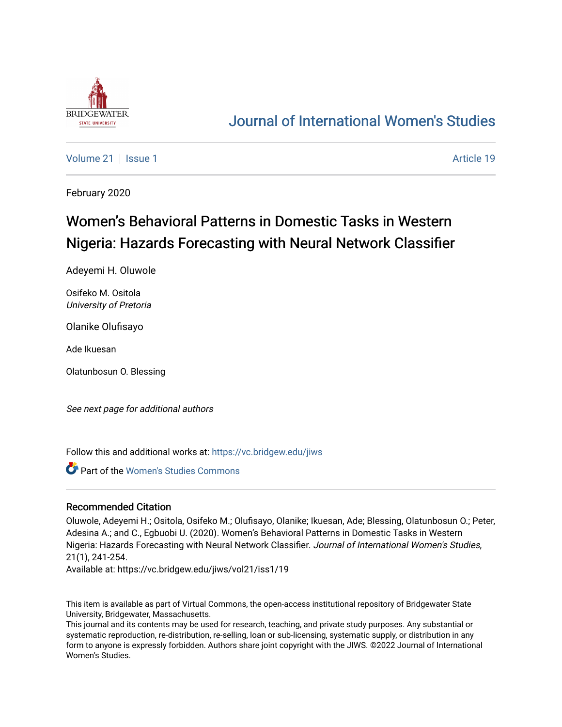

# [Journal of International Women's Studies](https://vc.bridgew.edu/jiws)

[Volume 21](https://vc.bridgew.edu/jiws/vol21) | [Issue 1](https://vc.bridgew.edu/jiws/vol21/iss1) Article 19

February 2020

# Women's Behavioral Patterns in Domestic Tasks in Western Nigeria: Hazards Forecasting with Neural Network Classifier

Adeyemi H. Oluwole

Osifeko M. Ositola University of Pretoria

Olanike Olufisayo

Ade Ikuesan

Olatunbosun O. Blessing

See next page for additional authors

Follow this and additional works at: [https://vc.bridgew.edu/jiws](https://vc.bridgew.edu/jiws?utm_source=vc.bridgew.edu%2Fjiws%2Fvol21%2Fiss1%2F19&utm_medium=PDF&utm_campaign=PDFCoverPages)

**Part of the Women's Studies Commons** 

#### Recommended Citation

Oluwole, Adeyemi H.; Ositola, Osifeko M.; Olufisayo, Olanike; Ikuesan, Ade; Blessing, Olatunbosun O.; Peter, Adesina A.; and C., Egbuobi U. (2020). Women's Behavioral Patterns in Domestic Tasks in Western Nigeria: Hazards Forecasting with Neural Network Classifier. Journal of International Women's Studies, 21(1), 241-254.

Available at: https://vc.bridgew.edu/jiws/vol21/iss1/19

This item is available as part of Virtual Commons, the open-access institutional repository of Bridgewater State University, Bridgewater, Massachusetts.

This journal and its contents may be used for research, teaching, and private study purposes. Any substantial or systematic reproduction, re-distribution, re-selling, loan or sub-licensing, systematic supply, or distribution in any form to anyone is expressly forbidden. Authors share joint copyright with the JIWS. ©2022 Journal of International Women's Studies.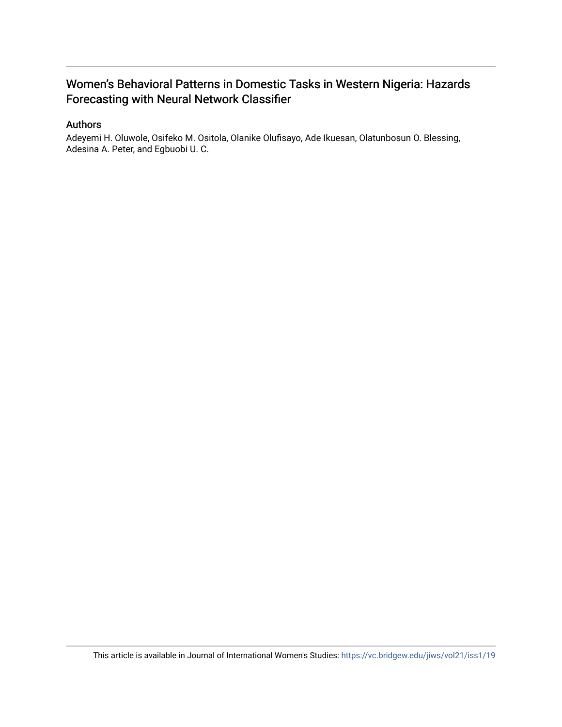# Women's Behavioral Patterns in Domestic Tasks in Western Nigeria: Hazards Forecasting with Neural Network Classifier

#### Authors

Adeyemi H. Oluwole, Osifeko M. Ositola, Olanike Olufisayo, Ade Ikuesan, Olatunbosun O. Blessing, Adesina A. Peter, and Egbuobi U. C.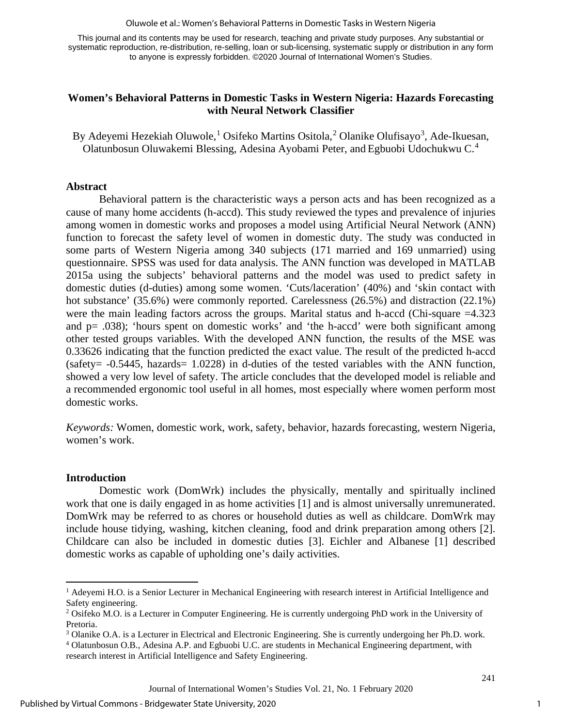Oluwole et al.: Women's Behavioral Patterns in Domestic Tasks in Western Nigeria

This journal and its contents may be used for research, teaching and private study purposes. Any substantial or systematic reproduction, re-distribution, re-selling, loan or sub-licensing, systematic supply or distribution in any form to anyone is expressly forbidden. ©2020 Journal of International Women's Studies.

#### **Women's Behavioral Patterns in Domestic Tasks in Western Nigeria: Hazards Forecasting with Neural Network Classifier**

By Adeyemi Hezekiah Oluwole,<sup>[1](#page-2-0)</sup> Osifeko Martins Ositola,<sup>[2](#page-2-1)</sup> Olanike Olufisayo<sup>[3](#page-2-2)</sup>, Ade-Ikuesan, Olatunbosun Oluwakemi Blessing, Adesina Ayobami Peter, and Egbuobi Udochukwu C.[4](#page-2-3)

#### **Abstract**

Behavioral pattern is the characteristic ways a person acts and has been recognized as a cause of many home accidents (h-accd). This study reviewed the types and prevalence of injuries among women in domestic works and proposes a model using Artificial Neural Network (ANN) function to forecast the safety level of women in domestic duty. The study was conducted in some parts of Western Nigeria among 340 subjects (171 married and 169 unmarried) using questionnaire. SPSS was used for data analysis. The ANN function was developed in MATLAB 2015a using the subjects' behavioral patterns and the model was used to predict safety in domestic duties (d-duties) among some women. 'Cuts/laceration' (40%) and 'skin contact with hot substance' (35.6%) were commonly reported. Carelessness (26.5%) and distraction (22.1%) were the main leading factors across the groups. Marital status and h-accd (Chi-square =4.323) and p= .038); 'hours spent on domestic works' and 'the h-accd' were both significant among other tested groups variables. With the developed ANN function, the results of the MSE was 0.33626 indicating that the function predicted the exact value. The result of the predicted h-accd (safety= -0.5445, hazards= 1.0228) in d-duties of the tested variables with the ANN function, showed a very low level of safety. The article concludes that the developed model is reliable and a recommended ergonomic tool useful in all homes, most especially where women perform most domestic works.

*Keywords:* Women, domestic work, work, safety, behavior, hazards forecasting, western Nigeria, women's work.

#### **Introduction**

Domestic work (DomWrk) includes the physically, mentally and spiritually inclined work that one is daily engaged in as home activities [1] and is almost universally unremunerated. DomWrk may be referred to as chores or household duties as well as childcare. DomWrk may include house tidying, washing, kitchen cleaning, food and drink preparation among others [2]. Childcare can also be included in domestic duties [3]. Eichler and Albanese [1] described domestic works as capable of upholding one's daily activities.

<span id="page-2-0"></span><sup>&</sup>lt;sup>1</sup> Adeyemi H.O. is a Senior Lecturer in Mechanical Engineering with research interest in Artificial Intelligence and Safety engineering.

<span id="page-2-1"></span><sup>&</sup>lt;sup>2</sup> Osifeko M.O. is a Lecturer in Computer Engineering. He is currently undergoing PhD work in the University of Pretoria.

<span id="page-2-3"></span><span id="page-2-2"></span><sup>&</sup>lt;sup>3</sup> Olanike O.A. is a Lecturer in Electrical and Electronic Engineering. She is currently undergoing her Ph.D. work. <sup>4</sup> Olatunbosun O.B., Adesina A.P. and Egbuobi U.C. are students in Mechanical Engineering department, wi research interest in Artificial Intelligence and Safety Engineering.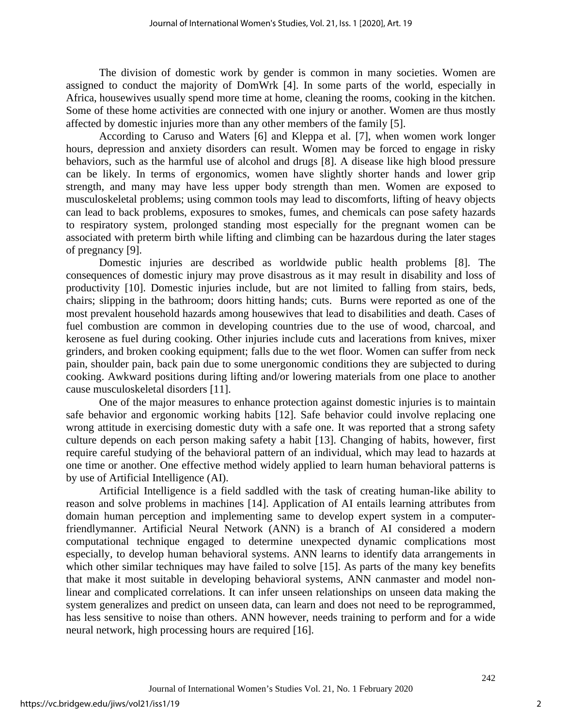The division of domestic work by gender is common in many societies. Women are assigned to conduct the majority of DomWrk [4]. In some parts of the world, especially in Africa, housewives usually spend more time at home, cleaning the rooms, cooking in the kitchen. Some of these home activities are connected with one injury or another. Women are thus mostly affected by domestic injuries more than any other members of the family [5].

According to Caruso and Waters [6] and Kleppa et al. [7], when women work longer hours, depression and anxiety disorders can result. Women may be forced to engage in risky behaviors, such as the harmful use of alcohol and drugs [8]. A disease like high blood pressure can be likely. In terms of ergonomics, women have slightly shorter hands and lower grip strength, and many may have less upper body strength than men. Women are exposed to musculoskeletal problems; using common tools may lead to discomforts, lifting of heavy objects can lead to back problems, exposures to smokes, fumes, and chemicals can pose safety hazards to respiratory system, prolonged standing most especially for the pregnant women can be associated with preterm birth while lifting and climbing can be hazardous during the later stages of pregnancy [9].

Domestic injuries are described as worldwide public health problems [8]. The consequences of domestic injury may prove disastrous as it may result in disability and loss of productivity [10]. Domestic injuries include, but are not limited to falling from stairs, beds, chairs; slipping in the bathroom; doors hitting hands; cuts. Burns were reported as one of the most prevalent household hazards among housewives that lead to disabilities and death. Cases of fuel combustion are common in developing countries due to the use of wood, charcoal, and kerosene as fuel during cooking. Other injuries include cuts and lacerations from knives, mixer grinders, and broken cooking equipment; falls due to the wet floor. Women can suffer from neck pain, shoulder pain, back pain due to some unergonomic conditions they are subjected to during cooking. Awkward positions during lifting and/or lowering materials from one place to another cause musculoskeletal disorders [11].

One of the major measures to enhance protection against domestic injuries is to maintain safe behavior and ergonomic working habits [12]. Safe behavior could involve replacing one wrong attitude in exercising domestic duty with a safe one. It was reported that a strong safety culture depends on each person making safety a habit [13]. Changing of habits, however, first require careful studying of the behavioral pattern of an individual, which may lead to hazards at one time or another. One effective method widely applied to learn human behavioral patterns is by use of Artificial Intelligence (AI).

Artificial Intelligence is a field saddled with the task of creating human-like ability to reason and solve problems in machines [14]. Application of AI entails learning attributes from domain human perception and implementing same to develop expert system in a computerfriendlymanner. Artificial Neural Network (ANN) is a branch of AI considered a modern computational technique engaged to determine unexpected dynamic complications most especially, to develop human behavioral systems. ANN learns to identify data arrangements in which other similar techniques may have failed to solve [15]. As parts of the many key benefits that make it most suitable in developing behavioral systems, ANN canmaster and model nonlinear and complicated correlations. It can infer unseen relationships on unseen data making the system generalizes and predict on unseen data, can learn and does not need to be reprogrammed, has less sensitive to noise than others. ANN however, needs training to perform and for a wide neural network, high processing hours are required [16].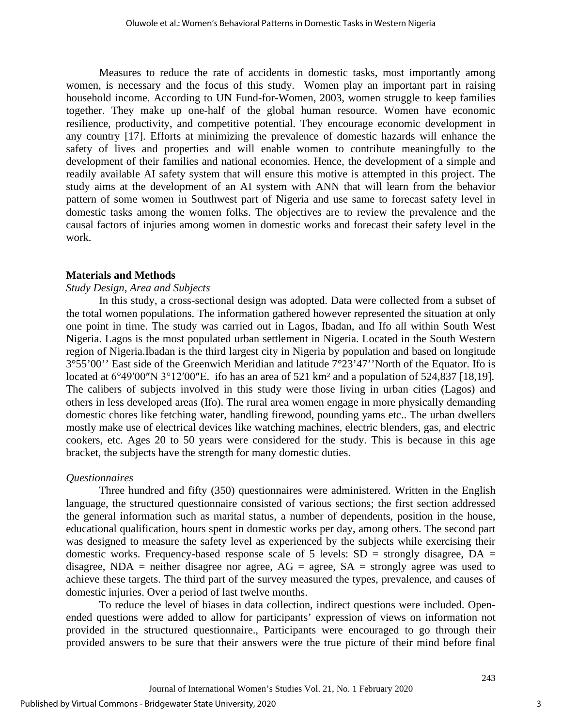Measures to reduce the rate of accidents in domestic tasks, most importantly among women, is necessary and the focus of this study. Women play an important part in raising household income. According to UN Fund-for-Women, 2003, women struggle to keep families together. They make up one-half of the global human resource. Women have economic resilience, productivity, and competitive potential. They encourage economic development in any country [17]. Efforts at minimizing the prevalence of domestic hazards will enhance the safety of lives and properties and will enable women to contribute meaningfully to the development of their families and national economies. Hence, the development of a simple and readily available AI safety system that will ensure this motive is attempted in this project. The study aims at the development of an AI system with ANN that will learn from the behavior pattern of some women in Southwest part of Nigeria and use same to forecast safety level in domestic tasks among the women folks. The objectives are to review the prevalence and the causal factors of injuries among women in domestic works and forecast their safety level in the work.

#### **Materials and Methods**

#### *Study Design, Area and Subjects*

In this study, a cross-sectional design was adopted. Data were collected from a subset of the total women populations. The information gathered however represented the situation at only one point in time. The study was carried out in Lagos, Ibadan, and Ifo all within South West Nigeria. Lagos is the most populated urban settlement in Nigeria. Located in the South Western region of Nigeria.Ibadan is the third largest city in Nigeria by population and based on longitude  $3^{\circ}55'00''$  East side of the Greenwich Meridian and latitude  $7^{\circ}23'47''$  North of the Equator. Ifo is located at [6°49′00″N 3°12′00″E](https://tools.wmflabs.org/geohack/geohack.php?pagename=Ifo¶ms=6_49_00_N_3_12_00_E_region:AU_type:city_source:GNS-enwiki). ifo has an area of 521 km<sup>2</sup> and a population of 524,837 [18,19]. The calibers of subjects involved in this study were those living in urban cities (Lagos) and others in less developed areas (Ifo). The rural area women engage in more physically demanding domestic chores like fetching water, handling firewood, pounding yams etc.. The urban dwellers mostly make use of electrical devices like watching machines, electric blenders, gas, and electric cookers, etc. Ages 20 to 50 years were considered for the study. This is because in this age bracket, the subjects have the strength for many domestic duties.

#### *Questionnaires*

Three hundred and fifty (350) questionnaires were administered. Written in the English language, the structured questionnaire consisted of various sections; the first section addressed the general information such as marital status, a number of dependents, position in the house, educational qualification, hours spent in domestic works per day, among others. The second part was designed to measure the safety level as experienced by the subjects while exercising their domestic works. Frequency-based response scale of 5 levels:  $SD =$  strongly disagree,  $DA =$ disagree, NDA = neither disagree nor agree,  $AG =$  agree,  $SA =$  strongly agree was used to achieve these targets. The third part of the survey measured the types, prevalence, and causes of domestic injuries. Over a period of last twelve months.

To reduce the level of biases in data collection, indirect questions were included. Openended questions were added to allow for participants' expression of views on information not provided in the structured questionnaire., Participants were encouraged to go through their provided answers to be sure that their answers were the true picture of their mind before final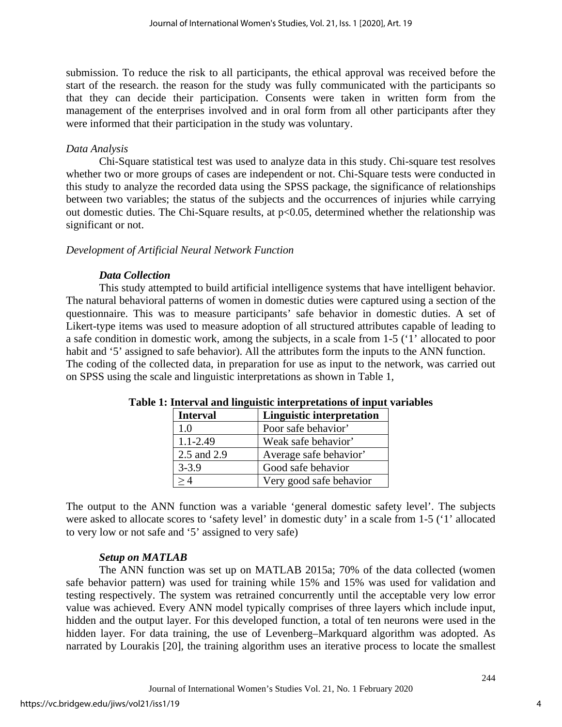submission. To reduce the risk to all participants, the ethical approval was received before the start of the research. the reason for the study was fully communicated with the participants so that they can decide their participation. Consents were taken in written form from the management of the enterprises involved and in oral form from all other participants after they were informed that their participation in the study was voluntary.

## *Data Analysis*

Chi-Square statistical test was used to analyze data in this study. Chi-square test resolves whether two or more groups of cases are independent or not. Chi-Square tests were conducted in this study to analyze the recorded data using the SPSS package, the significance of relationships between two variables; the status of the subjects and the occurrences of injuries while carrying out domestic duties. The Chi-Square results, at  $p<0.05$ , determined whether the relationship was significant or not.

## *Development of Artificial Neural Network Function*

## *Data Collection*

This study attempted to build artificial intelligence systems that have intelligent behavior. The natural behavioral patterns of women in domestic duties were captured using a section of the questionnaire. This was to measure participants' safe behavior in domestic duties. A set of Likert-type items was used to measure adoption of all structured attributes capable of leading to a safe condition in domestic work, among the subjects, in a scale from 1-5 ('1' allocated to poor habit and '5' assigned to safe behavior). All the attributes form the inputs to the ANN function. The coding of the collected data, in preparation for use as input to the network, was carried out on SPSS using the scale and linguistic interpretations as shown in Table 1,

| <b>Interval</b> | <b>Linguistic interpretation</b> |
|-----------------|----------------------------------|
| 1.0             | Poor safe behavior'              |
| $1.1 - 2.49$    | Weak safe behavior'              |
| 2.5 and 2.9     | Average safe behavior'           |
| $3 - 3.9$       | Good safe behavior               |
| >4              | Very good safe behavior          |

#### **Table 1: Interval and linguistic interpretations of input variables**

The output to the ANN function was a variable 'general domestic safety level'. The subjects were asked to allocate scores to 'safety level' in domestic duty' in a scale from 1-5 ('1' allocated to very low or not safe and '5' assigned to very safe)

# *Setup on MATLAB*

The ANN function was set up on MATLAB 2015a; 70% of the data collected (women safe behavior pattern) was used for training while 15% and 15% was used for validation and testing respectively. The system was retrained concurrently until the acceptable very low error value was achieved. Every ANN model typically comprises of three layers which include input, hidden and the output layer. For this developed function, a total of ten neurons were used in the hidden layer. For data training, the use of Levenberg–Markquard algorithm was adopted. As narrated by Lourakis [20], the training algorithm uses an iterative process to locate the smallest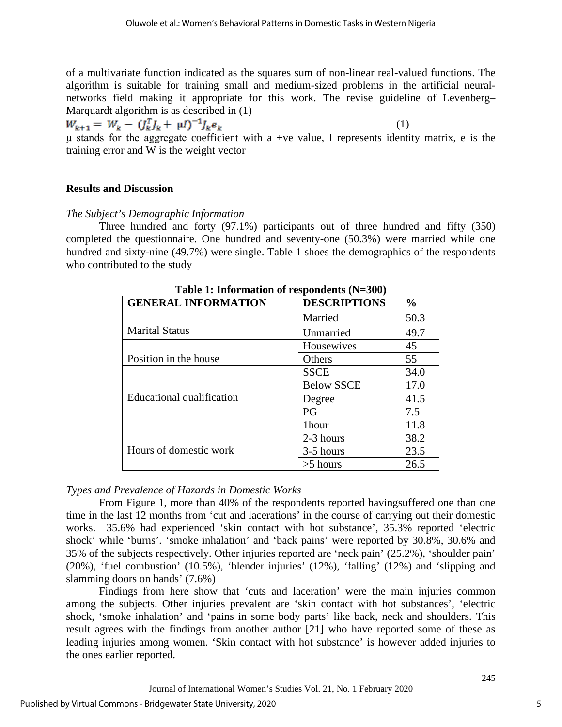of a multivariate function indicated as the squares sum of non-linear real-valued functions. The algorithm is suitable for training small and medium-sized problems in the artificial neuralnetworks field making it appropriate for this work. The revise guideline of Levenberg– Marquardt algorithm is as described in (1)

 (1) μ stands for the aggregate coefficient with a +ve value, I represents identity matrix, e is the

training error and W is the weight vector

#### **Results and Discussion**

## *The Subject's Demographic Information*

Three hundred and forty (97.1%) participants out of three hundred and fifty (350) completed the questionnaire. One hundred and seventy-one (50.3%) were married while one hundred and sixty-nine (49.7%) were single. Table 1 shoes the demographics of the respondents who contributed to the study

| $\sim$ and continuous of response the $(11.600)$ |                     |               |  |
|--------------------------------------------------|---------------------|---------------|--|
| <b>GENERAL INFORMATION</b>                       | <b>DESCRIPTIONS</b> | $\frac{6}{6}$ |  |
|                                                  | Married             | 50.3          |  |
| <b>Marital Status</b>                            | Unmarried           | 49.7          |  |
|                                                  | Housewives          | 45            |  |
| Position in the house                            | Others              | 55            |  |
|                                                  | <b>SSCE</b>         | 34.0          |  |
|                                                  | <b>Below SSCE</b>   | 17.0          |  |
| Educational qualification                        | Degree              | 41.5          |  |
|                                                  | PG                  | 7.5           |  |
|                                                  | 1hour               | 11.8          |  |
|                                                  | 2-3 hours           | 38.2          |  |
| Hours of domestic work                           | 3-5 hours           | 23.5          |  |
|                                                  | $>5$ hours          | 26.5          |  |

**Table 1: Information of respondents (N=300)** 

# *Types and Prevalence of Hazards in Domestic Works*

From Figure 1, more than 40% of the respondents reported havingsuffered one than one time in the last 12 months from 'cut and lacerations' in the course of carrying out their domestic works. 35.6% had experienced 'skin contact with hot substance', 35.3% reported 'electric shock' while 'burns'. 'smoke inhalation' and 'back pains' were reported by 30.8%, 30.6% and 35% of the subjects respectively. Other injuries reported are 'neck pain' (25.2%), 'shoulder pain' (20%), 'fuel combustion' (10.5%), 'blender injuries' (12%), 'falling' (12%) and 'slipping and slamming doors on hands' (7.6%)

Findings from here show that 'cuts and laceration' were the main injuries common among the subjects. Other injuries prevalent are 'skin contact with hot substances', 'electric shock, 'smoke inhalation' and 'pains in some body parts' like back, neck and shoulders. This result agrees with the findings from another author [21] who have reported some of these as leading injuries among women. 'Skin contact with hot substance' is however added injuries to the ones earlier reported.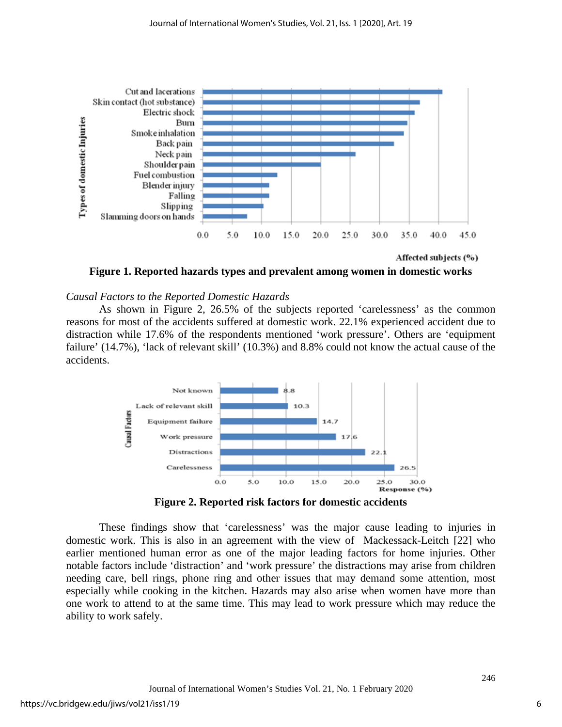

Affected subjects (%)

**Figure 1. Reported hazards types and prevalent among women in domestic works**

#### *Causal Factors to the Reported Domestic Hazards*

As shown in Figure 2, 26.5% of the subjects reported 'carelessness' as the common reasons for most of the accidents suffered at domestic work. 22.1% experienced accident due to distraction while 17.6% of the respondents mentioned 'work pressure'. Others are 'equipment failure' (14.7%), 'lack of relevant skill' (10.3%) and 8.8% could not know the actual cause of the accidents.



**Figure 2. Reported risk factors for domestic accidents**

These findings show that 'carelessness' was the major cause leading to injuries in domestic work. This is also in an agreement with the view of [Mackessack-Leitch](https://www.ncbi.nlm.nih.gov/pubmed/?term=Mackessack-Leitch%20K%5BAuthor%5D&cauthor=true&cauthor_uid=553168) [22] who earlier mentioned human error as one of the major leading factors for home injuries. Other notable factors include 'distraction' and 'work pressure' the distractions may arise from children needing care, bell rings, phone ring and other issues that may demand some attention, most especially while cooking in the kitchen. Hazards may also arise when women have more than one work to attend to at the same time. This may lead to work pressure which may reduce the ability to work safely.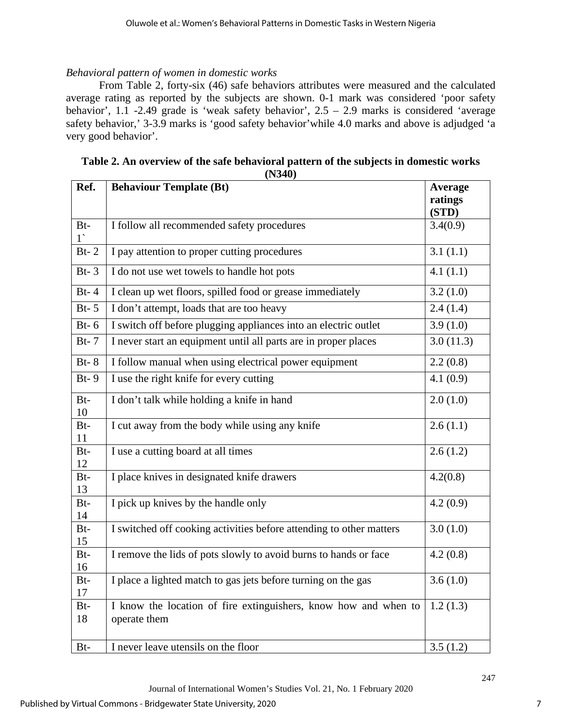# *Behavioral pattern of women in domestic works*

From Table 2, forty-six (46) safe behaviors attributes were measured and the calculated average rating as reported by the subjects are shown. 0-1 mark was considered 'poor safety behavior', 1.1 -2.49 grade is 'weak safety behavior', 2.5 – 2.9 marks is considered 'average safety behavior,' 3-3.9 marks is 'good safety behavior'while 4.0 marks and above is adjudged 'a very good behavior'.

| Ref.                 | (11JTV)<br><b>Behaviour Template (Bt)</b>                                       | <b>Average</b><br>ratings<br>(STD) |
|----------------------|---------------------------------------------------------------------------------|------------------------------------|
| $Bt-$<br>$1^{\circ}$ | I follow all recommended safety procedures                                      | 3.4(0.9)                           |
| $Bt-2$               | I pay attention to proper cutting procedures                                    | 3.1(1.1)                           |
| $Bt-3$               | I do not use wet towels to handle hot pots                                      | 4.1(1.1)                           |
| $Bt-4$               | I clean up wet floors, spilled food or grease immediately                       | 3.2(1.0)                           |
| $Bt-5$               | I don't attempt, loads that are too heavy                                       | 2.4(1.4)                           |
| $Bt-6$               | I switch off before plugging appliances into an electric outlet                 | 3.9(1.0)                           |
| $Bt-7$               | I never start an equipment until all parts are in proper places                 | 3.0(11.3)                          |
| $Bt-8$               | I follow manual when using electrical power equipment                           | 2.2(0.8)                           |
| $Bt-9$               | I use the right knife for every cutting                                         | 4.1(0.9)                           |
| $Bt-$<br>10          | I don't talk while holding a knife in hand                                      | 2.0(1.0)                           |
| Bt-<br>11            | I cut away from the body while using any knife                                  | 2.6(1.1)                           |
| Bt-<br>12            | I use a cutting board at all times                                              | 2.6(1.2)                           |
| Bt-<br>13            | I place knives in designated knife drawers                                      | 4.2(0.8)                           |
| Bt-<br>14            | I pick up knives by the handle only                                             | 4.2(0.9)                           |
| $Bt-$<br>15          | I switched off cooking activities before attending to other matters             | 3.0(1.0)                           |
| Bt-<br>16            | I remove the lids of pots slowly to avoid burns to hands or face                | 4.2(0.8)                           |
| Bt-<br>17            | I place a lighted match to gas jets before turning on the gas                   | 3.6(1.0)                           |
| Bt-<br>18            | I know the location of fire extinguishers, know how and when to<br>operate them | 1.2(1.3)                           |
| Bt-                  | I never leave utensils on the floor                                             | 3.5(1.2)                           |

| Table 2. An overview of the safe behavioral pattern of the subjects in domestic works |
|---------------------------------------------------------------------------------------|
| (N340)                                                                                |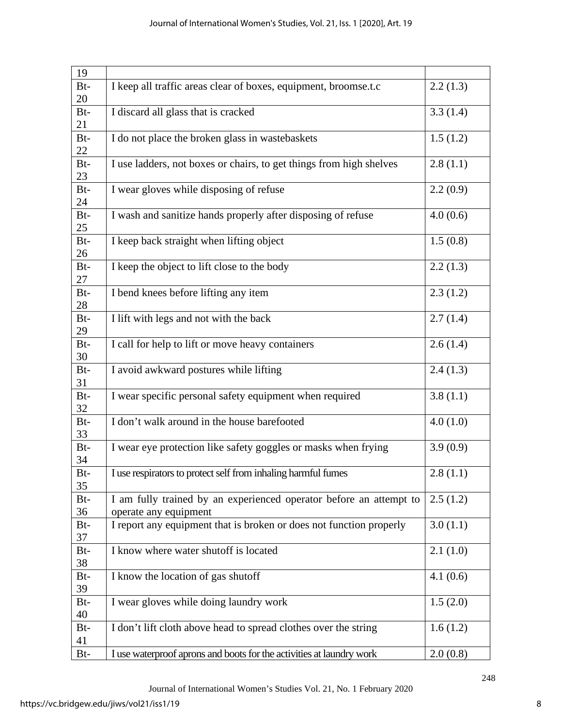| 19    |                                                                      |          |
|-------|----------------------------------------------------------------------|----------|
| Bt-   | I keep all traffic areas clear of boxes, equipment, broomse.t.c      | 2.2(1.3) |
| 20    |                                                                      |          |
| $Bt-$ | I discard all glass that is cracked                                  | 3.3(1.4) |
| 21    |                                                                      |          |
| Bt-   | I do not place the broken glass in wastebaskets                      | 1.5(1.2) |
| 22    |                                                                      |          |
| $Bt-$ | I use ladders, not boxes or chairs, to get things from high shelves  | 2.8(1.1) |
| 23    |                                                                      |          |
| Bt-   | I wear gloves while disposing of refuse                              | 2.2(0.9) |
| 24    |                                                                      |          |
| Bt-   | I wash and sanitize hands properly after disposing of refuse         | 4.0(0.6) |
| 25    |                                                                      |          |
|       |                                                                      |          |
| $Bt-$ | I keep back straight when lifting object                             | 1.5(0.8) |
| 26    |                                                                      |          |
| Bt-   | I keep the object to lift close to the body                          | 2.2(1.3) |
| 27    |                                                                      |          |
| $Bt-$ | I bend knees before lifting any item                                 | 2.3(1.2) |
| 28    |                                                                      |          |
| $Bt-$ | I lift with legs and not with the back                               | 2.7(1.4) |
| 29    |                                                                      |          |
| Bt-   | I call for help to lift or move heavy containers                     | 2.6(1.4) |
| 30    |                                                                      |          |
| Bt-   | I avoid awkward postures while lifting                               | 2.4(1.3) |
| 31    |                                                                      |          |
| $Bt-$ | I wear specific personal safety equipment when required              | 3.8(1.1) |
| 32    |                                                                      |          |
| $Bt-$ | I don't walk around in the house barefooted                          | 4.0(1.0) |
| 33    |                                                                      |          |
| Bt-   | I wear eye protection like safety goggles or masks when frying       | 3.9(0.9) |
| 34    |                                                                      |          |
| Bt-   | I use respirators to protect self from inhaling harmful fumes        | 2.8(1.1) |
| 35    |                                                                      |          |
| $Bt-$ | I am fully trained by an experienced operator before an attempt to   | 2.5(1.2) |
| 36    | operate any equipment                                                |          |
| Bt-   | I report any equipment that is broken or does not function properly  | 3.0(1.1) |
| 37    |                                                                      |          |
| Bt-   | I know where water shutoff is located                                | 2.1(1.0) |
| 38    |                                                                      |          |
| $Bt-$ | I know the location of gas shutoff                                   | 4.1(0.6) |
| 39    |                                                                      |          |
| Bt-   |                                                                      |          |
| 40    | I wear gloves while doing laundry work                               | 1.5(2.0) |
|       |                                                                      |          |
| Bt-   | I don't lift cloth above head to spread clothes over the string      | 1.6(1.2) |
| 41    |                                                                      |          |
| Bt-   | I use waterproof aprons and boots for the activities at laundry work | 2.0(0.8) |

Journal of International Women's Studies Vol. 21, No. 1 February 2020

8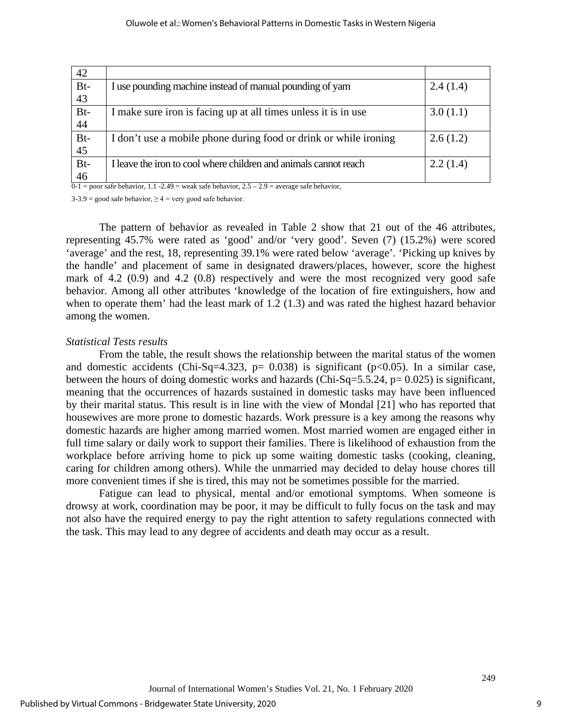| 42  |                                                                  |          |
|-----|------------------------------------------------------------------|----------|
| Bt- | I use pounding machine instead of manual pounding of yam         | 2.4(1.4) |
| 43  |                                                                  |          |
| Bt- | I make sure iron is facing up at all times unless it is in use   | 3.0(1.1) |
| 44  |                                                                  |          |
| Bt- | I don't use a mobile phone during food or drink or while ironing | 2.6(1.2) |
| 45  |                                                                  |          |
| Bt- | I leave the iron to cool where children and animals cannot reach | 2.2(1.4) |
| 46  |                                                                  |          |

 $0-1$  = poor safe behavior, 1.1 - 2.49 = weak safe behavior, 2.5 – 2.9 = average safe behavior,

 $3-3.9$  = good safe behavior,  $\geq 4$  = very good safe behavior.

The pattern of behavior as revealed in Table 2 show that 21 out of the 46 attributes, representing 45.7% were rated as 'good' and/or 'very good'. Seven (7) (15.2%) were scored 'average' and the rest, 18, representing 39.1% were rated below 'average'. 'Picking up knives by the handle' and placement of same in designated drawers/places, however, score the highest mark of 4.2 (0.9) and 4.2 (0.8) respectively and were the most recognized very good safe behavior. Among all other attributes 'knowledge of the location of fire extinguishers, how and when to operate them' had the least mark of 1.2 (1.3) and was rated the highest hazard behavior among the women.

#### *Statistical Tests results*

From the table, the result shows the relationship between the marital status of the women and domestic accidents (Chi-Sq=4.323, p= 0.038) is significant ( $p<0.05$ ). In a similar case, between the hours of doing domestic works and hazards (Chi-Sq=5.5.24,  $p= 0.025$ ) is significant, meaning that the occurrences of hazards sustained in domestic tasks may have been influenced by their marital status. This result is in line with the view of Mondal [21] who has reported that housewives are more prone to domestic hazards. Work pressure is a key among the reasons why domestic hazards are higher among married women. Most married women are engaged either in full time salary or daily work to support their families. There is likelihood of exhaustion from the workplace before arriving home to pick up some waiting domestic tasks (cooking, cleaning, caring for children among others). While the unmarried may decided to delay house chores till more convenient times if she is tired, this may not be sometimes possible for the married.

Fatigue can lead to physical, mental and/or emotional symptoms. When someone is drowsy at work, coordination may be poor, it may be difficult to fully focus on the task and may not also have the required energy to pay the right attention to safety regulations connected with the task. This may lead to any degree of accidents and death may occur as a result.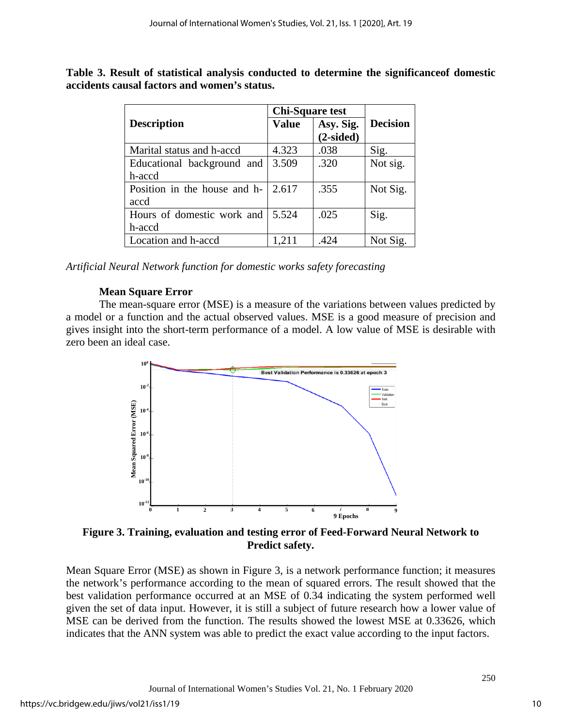|                              | <b>Chi-Square test</b> |                          |                 |
|------------------------------|------------------------|--------------------------|-----------------|
| <b>Description</b>           | <b>Value</b>           | Asy. Sig.<br>$(2-sided)$ | <b>Decision</b> |
|                              |                        |                          |                 |
| Marital status and h-accd    | 4.323                  | .038                     | Sig.            |
| Educational background and   | 3.509                  | .320                     | Not sig.        |
| h-accd                       |                        |                          |                 |
| Position in the house and h- | 2.617                  | .355                     | Not Sig.        |
| accd                         |                        |                          |                 |
| Hours of domestic work and   | 5.524                  | .025                     | Sig.            |
| h-accd                       |                        |                          |                 |
| Location and h-accd          | 1,211                  | .424                     | Not Sig.        |

**Table 3. Result of statistical analysis conducted to determine the significanceof domestic accidents causal factors and women's status.**

*Artificial Neural Network function for domestic works safety forecasting*

# **Mean Square Error**

The mean-square error (MSE) is a measure of the variations between values predicted by a model or a function and the actual observed values. MSE is a good measure of precision and gives insight into the short-term performance of a model. A low value of MSE is desirable with zero been an ideal case.



**Figure 3. Training, evaluation and testing error of Feed-Forward Neural Network to Predict safety.**

Mean Square Error (MSE) as shown in Figure 3, is a network performance function; it measures the network's performance according to the mean of squared errors. The result showed that the best validation performance occurred at an MSE of 0.34 indicating the system performed well given the set of data input. However, it is still a subject of future research how a lower value of MSE can be derived from the function. The results showed the lowest MSE at 0.33626, which indicates that the ANN system was able to predict the exact value according to the input factors.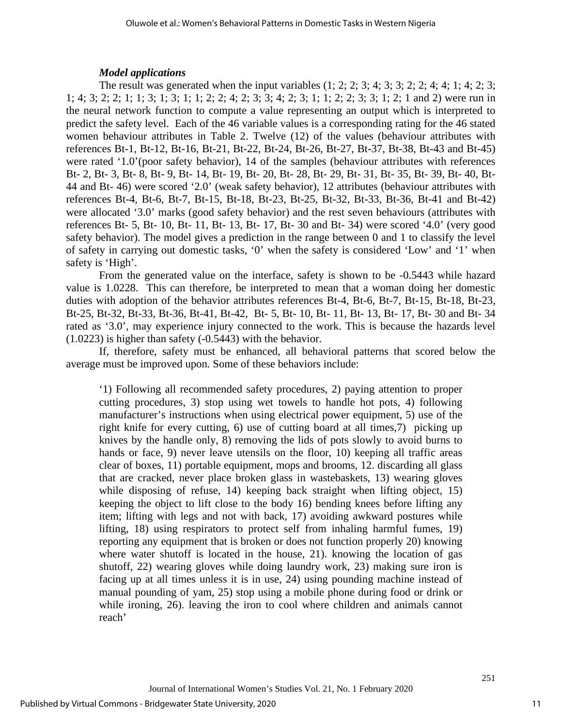## *Model applications*

The result was generated when the input variables  $(1; 2; 2; 3; 4; 3; 3; 2; 2; 4; 4; 1; 4; 2; 3;$ 1; 4; 3; 2; 2; 1; 1; 3; 1; 3; 1; 1; 2; 2; 4; 2; 3; 3; 4; 2; 3; 1; 1; 2; 2; 3; 3; 1; 2; 1 and 2) were run in the neural network function to compute a value representing an output which is interpreted to predict the safety level. Each of the 46 variable values is a corresponding rating for the 46 stated women behaviour attributes in Table 2. Twelve (12) of the values (behaviour attributes with references Bt-1, Bt-12, Bt-16, Bt-21, Bt-22, Bt-24, Bt-26, Bt-27, Bt-37, Bt-38, Bt-43 and Bt-45) were rated '1.0'(poor safety behavior), 14 of the samples (behaviour attributes with references Bt- 2, Bt- 3, Bt- 8, Bt- 9, Bt- 14, Bt- 19, Bt- 20, Bt- 28, Bt- 29, Bt- 31, Bt- 35, Bt- 39, Bt- 40, Bt-44 and Bt- 46) were scored '2.0' (weak safety behavior), 12 attributes (behaviour attributes with references Bt-4, Bt-6, Bt-7, Bt-15, Bt-18, Bt-23, Bt-25, Bt-32, Bt-33, Bt-36, Bt-41 and Bt-42) were allocated '3.0' marks (good safety behavior) and the rest seven behaviours (attributes with references Bt- 5, Bt- 10, Bt- 11, Bt- 13, Bt- 17, Bt- 30 and Bt- 34) were scored '4.0' (very good safety behavior). The model gives a prediction in the range between 0 and 1 to classify the level of safety in carrying out domestic tasks, '0' when the safety is considered 'Low' and '1' when safety is 'High'.

From the generated value on the interface, safety is shown to be -0.5443 while hazard value is 1.0228. This can therefore, be interpreted to mean that a woman doing her domestic duties with adoption of the behavior attributes references Bt-4, Bt-6, Bt-7, Bt-15, Bt-18, Bt-23, Bt-25, Bt-32, Bt-33, Bt-36, Bt-41, Bt-42, Bt- 5, Bt- 10, Bt- 11, Bt- 13, Bt- 17, Bt- 30 and Bt- 34 rated as '3.0', may experience injury connected to the work. This is because the hazards level (1.0223) is higher than safety (-0.5443) with the behavior.

If, therefore, safety must be enhanced, all behavioral patterns that scored below the average must be improved upon. Some of these behaviors include:

'1) Following all recommended safety procedures, 2) paying attention to proper cutting procedures, 3) stop using wet towels to handle hot pots, 4) following manufacturer's instructions when using electrical power equipment, 5) use of the right knife for every cutting, 6) use of cutting board at all times,7) picking up knives by the handle only, 8) removing the lids of pots slowly to avoid burns to hands or face, 9) never leave utensils on the floor, 10) keeping all traffic areas clear of boxes, 11) portable equipment, mops and brooms, 12. discarding all glass that are cracked, never place broken glass in wastebaskets, 13) wearing gloves while disposing of refuse, 14) keeping back straight when lifting object, 15) keeping the object to lift close to the body 16) bending knees before lifting any item; lifting with legs and not with back, 17) avoiding awkward postures while lifting, 18) using respirators to protect self from inhaling harmful fumes, 19) reporting any equipment that is broken or does not function properly 20) knowing where water shutoff is located in the house, 21). knowing the location of gas shutoff, 22) wearing gloves while doing laundry work, 23) making sure iron is facing up at all times unless it is in use, 24) using pounding machine instead of manual pounding of yam, 25) stop using a mobile phone during food or drink or while ironing, 26). leaving the iron to cool where children and animals cannot reach'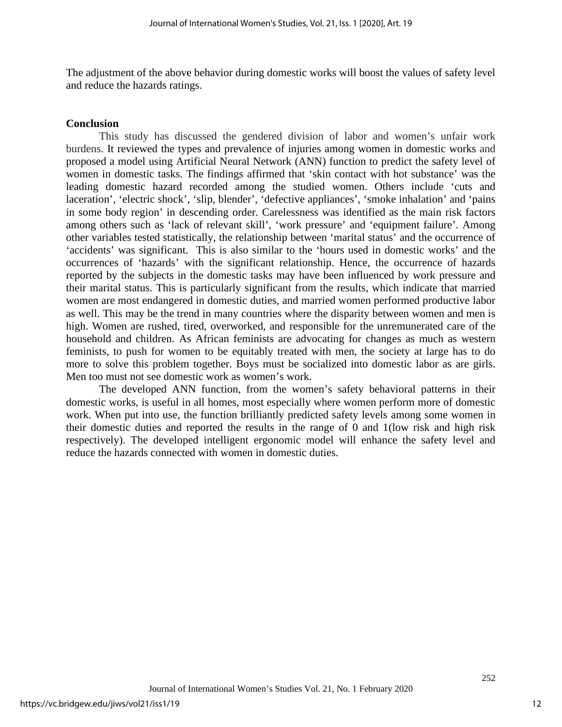The adjustment of the above behavior during domestic works will boost the values of safety level and reduce the hazards ratings.

#### **Conclusion**

This study has discussed the gendered division of labor and women's unfair work burdens. It reviewed the types and prevalence of injuries among women in domestic works and proposed a model using Artificial Neural Network (ANN) function to predict the safety level of women in domestic tasks. The findings affirmed that 'skin contact with hot substance' was the leading domestic hazard recorded among the studied women. Others include 'cuts and laceration', 'electric shock', 'slip, blender', 'defective appliances', 'smoke inhalation' and 'pains in some body region' in descending order. Carelessness was identified as the main risk factors among others such as 'lack of relevant skill', 'work pressure' and 'equipment failure'. Among other variables tested statistically, the relationship between 'marital status' and the occurrence of 'accidents' was significant. This is also similar to the 'hours used in domestic works' and the occurrences of 'hazards' with the significant relationship. Hence, the occurrence of hazards reported by the subjects in the domestic tasks may have been influenced by work pressure and their marital status. This is particularly significant from the results, which indicate that married women are most endangered in domestic duties, and married women performed productive labor as well. This may be the trend in many countries where the disparity between women and men is high. Women are rushed, tired, overworked, and responsible for the unremunerated care of the household and children. As African feminists are advocating for changes as much as western feminists, to push for women to be equitably treated with men, the society at large has to do more to solve this problem together. Boys must be socialized into domestic labor as are girls. Men too must not see domestic work as women's work.

The developed ANN function, from the women's safety behavioral patterns in their domestic works, is useful in all homes, most especially where women perform more of domestic work. When put into use, the function brilliantly predicted safety levels among some women in their domestic duties and reported the results in the range of 0 and 1(low risk and high risk respectively). The developed intelligent ergonomic model will enhance the safety level and reduce the hazards connected with women in domestic duties.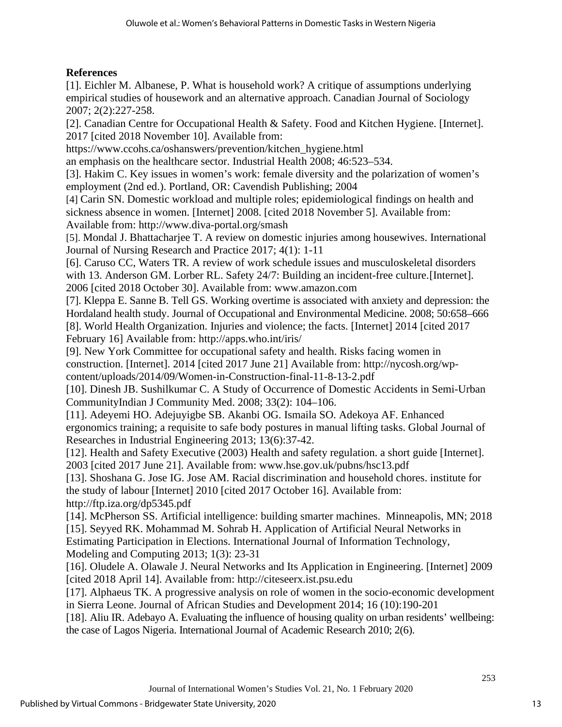# **References**

[1]. Eichler M. Albanese, P. What is household work? A critique of assumptions underlying empirical studies of housework and an alternative approach. Canadian Journal of Sociology 2007; 2(2):227-258.

[2]. Canadian Centre for Occupational Health & Safety. Food and Kitchen Hygiene. [Internet]. 2017 [cited 2018 November 10]. Available from:

https://www.ccohs.ca/oshanswers/prevention/kitchen\_hygiene.html

an emphasis on the healthcare sector. Industrial Health 2008; 46:523–534.

[3]. Hakim C. Key issues in women's work: female diversity and the polarization of women's employment (2nd ed.). Portland, OR: Cavendish Publishing; 2004

[4] Carin SN. Domestic workload and multiple roles; epidemiological findings on health and sickness absence in women. [Internet] 2008. [cited 2018 November 5]. Available from: Available from: http://www.diva-portal.org/smash

[5]. Mondal J. Bhattacharjee T. A review on domestic injuries among housewives. International Journal of Nursing Research and Practice 2017; 4(1): 1-11

[6]. Caruso CC, Waters TR. A review of work schedule issues and musculoskeletal disorders with 13. Anderson GM. Lorber RL. Safety 24/7: Building an incident-free culture. [Internet]. 2006 [cited 2018 October 30]. Available from: www.amazon.com

[7]. Kleppa E. Sanne B. Tell GS. Working overtime is associated with anxiety and depression: the Hordaland health study. Journal of Occupational and Environmental Medicine. 2008; 50:658–666 [8]. World Health Organization. Injuries and violence; the facts. [Internet] 2014 [cited 2017 February 16] Available from: http://apps.who.int/iris/

[9]. New York Committee for occupational safety and health. Risks facing women in construction. [Internet]. 2014 [cited 2017 June 21] Available from: [http://nycosh.org/wp](http://nycosh.org/wp-content/uploads/2014/09/Women-in-Construction-final-11-8-13-2.pdf)[content/uploads/2014/09/Women-in-Construction-final-11-8-13-2.pdf](http://nycosh.org/wp-content/uploads/2014/09/Women-in-Construction-final-11-8-13-2.pdf)

[\[10\]. Dinesh JB.](https://www.ncbi.nlm.nih.gov/pubmed/?term=Bhanderi%20DJ%5BAuthor%5D&cauthor=true&cauthor_uid=19967034) [Sushilkumar C.](https://www.ncbi.nlm.nih.gov/pubmed/?term=Choudhary%20S%5BAuthor%5D&cauthor=true&cauthor_uid=19967034) A Study of Occurrence of Domestic Accidents in Semi-Urban Communit[yIndian J Community Med.](https://www.ncbi.nlm.nih.gov/pmc/articles/PMC2784614/) 2008; 33(2): 104–106.

[11]. Adeyemi HO. Adejuyigbe SB. Akanbi OG. Ismaila SO. Adekoya AF. Enhanced ergonomics training; a requisite to safe body postures in manual lifting tasks. Global Journal of Researches in Industrial Engineering 2013; 13(6):37-42.

[12]. Health and Safety Executive (2003) Health and safety regulation. a short guide [Internet]. 2003 [cited 2017 June 21]. Available from: [www.hse.gov.uk/pubns/hsc13.pdf](http://www.hse.gov.uk/pubns/hsc13.pdf) 

[13]. Shoshana G. Jose IG. Jose AM. Racial discrimination and household chores. institute for the study of labour [Internet] 2010 [cited 2017 October 16]. Available from: <http://ftp.iza.org/dp5345.pdf>

[14]. McPherson SS. Artificial intelligence: building smarter machines. Minneapolis, MN; 2018 [15]. Seyyed RK. Mohammad M. Sohrab H. Application of Artificial Neural Networks in Estimating Participation in Elections. International Journal of Information Technology, Modeling and Computing 2013; 1(3): 23-31

[16]. Oludele A. Olawale J. Neural Networks and Its Application in Engineering. [Internet] 2009 [cited 2018 April 14]. Available from: http://citeseerx.ist.psu.edu

[17]. Alphaeus TK. A progressive analysis on role of women in the socio-economic development in Sierra Leone. Journal of African Studies and Development 2014; 16 (10):190-201

[18]. Aliu IR. Adebayo A. Evaluating the influence of housing quality on urban residents' wellbeing: the case of Lagos Nigeria. International Journal of Academic Research 2010; 2(6).